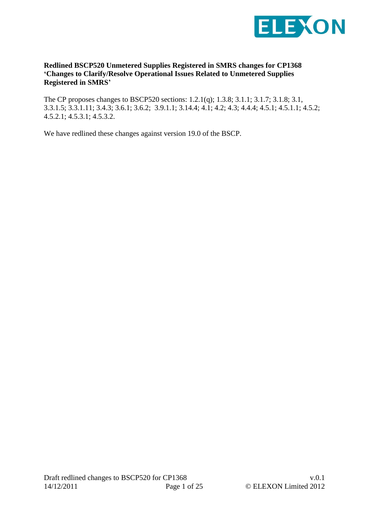

#### **Redlined BSCP520 Unmetered Supplies Registered in SMRS changes for CP1368 'Changes to Clarify/Resolve Operational Issues Related to Unmetered Supplies Registered in SMRS'**

The CP proposes changes to BSCP520 sections: 1.2.1(q); 1.3.8; 3.1.1; 3.1.7; 3.1.8; 3.1, 3.3.1.5; 3.3.1.11; 3.4.3; 3.6.1; 3.6.2; 3.9.1.1; 3.14.4; 4.1; 4.2; 4.3; 4.4.4; 4.5.1; 4.5.1.1; 4.5.2; 4.5.2.1; 4.5.3.1; 4.5.3.2.

We have redlined these changes against version 19.0 of the BSCP.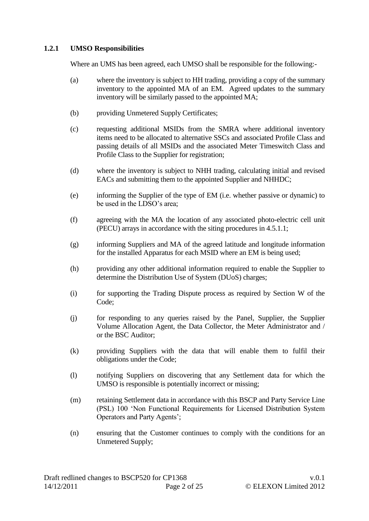#### **1.2.1 UMSO Responsibilities**

Where an UMS has been agreed, each UMSO shall be responsible for the following:-

- (a) where the inventory is subject to HH trading, providing a copy of the summary inventory to the appointed MA of an EM. Agreed updates to the summary inventory will be similarly passed to the appointed MA;
- (b) providing Unmetered Supply Certificates;
- (c) requesting additional MSIDs from the SMRA where additional inventory items need to be allocated to alternative SSCs and associated Profile Class and passing details of all MSIDs and the associated Meter Timeswitch Class and Profile Class to the Supplier for registration;
- (d) where the inventory is subject to NHH trading, calculating initial and revised EACs and submitting them to the appointed Supplier and NHHDC;
- (e) informing the Supplier of the type of EM (i.e. whether passive or dynamic) to be used in the LDSO's area;
- (f) agreeing with the MA the location of any associated photo-electric cell unit (PECU) arrays in accordance with the siting procedures in 4.5.1.1;
- (g) informing Suppliers and MA of the agreed latitude and longitude information for the installed Apparatus for each MSID where an EM is being used;
- (h) providing any other additional information required to enable the Supplier to determine the Distribution Use of System (DUoS) charges;
- (i) for supporting the Trading Dispute process as required by Section W of the Code;
- (j) for responding to any queries raised by the Panel, Supplier, the Supplier Volume Allocation Agent, the Data Collector, the Meter Administrator and / or the BSC Auditor;
- (k) providing Suppliers with the data that will enable them to fulfil their obligations under the Code;
- (l) notifying Suppliers on discovering that any Settlement data for which the UMSO is responsible is potentially incorrect or missing;
- (m) retaining Settlement data in accordance with this BSCP and Party Service Line (PSL) 100 'Non Functional Requirements for Licensed Distribution System Operators and Party Agents';
- (n) ensuring that the Customer continues to comply with the conditions for an Unmetered Supply;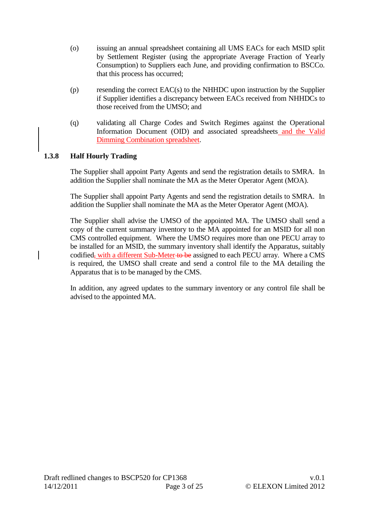- (o) issuing an annual spreadsheet containing all UMS EACs for each MSID split by Settlement Register (using the appropriate Average Fraction of Yearly Consumption) to Suppliers each June, and providing confirmation to BSCCo. that this process has occurred;
- (p) resending the correct EAC(s) to the NHHDC upon instruction by the Supplier if Supplier identifies a discrepancy between EACs received from NHHDCs to those received from the UMSO; and
- (q) validating all Charge Codes and Switch Regimes against the Operational Information Document (OID) and associated spreadsheets and the Valid Dimming Combination spreadsheet.

## **1.3.8 Half Hourly Trading**

The Supplier shall appoint Party Agents and send the registration details to SMRA. In addition the Supplier shall nominate the MA as the Meter Operator Agent (MOA).

The Supplier shall appoint Party Agents and send the registration details to SMRA. In addition the Supplier shall nominate the MA as the Meter Operator Agent (MOA).

The Supplier shall advise the UMSO of the appointed MA. The UMSO shall send a copy of the current summary inventory to the MA appointed for an MSID for all non CMS controlled equipment. Where the UMSO requires more than one PECU array to be installed for an MSID, the summary inventory shall identify the Apparatus, suitably codified, with a different Sub-Meter to be assigned to each PECU array. Where a CMS is required, the UMSO shall create and send a control file to the MA detailing the Apparatus that is to be managed by the CMS.

In addition, any agreed updates to the summary inventory or any control file shall be advised to the appointed MA.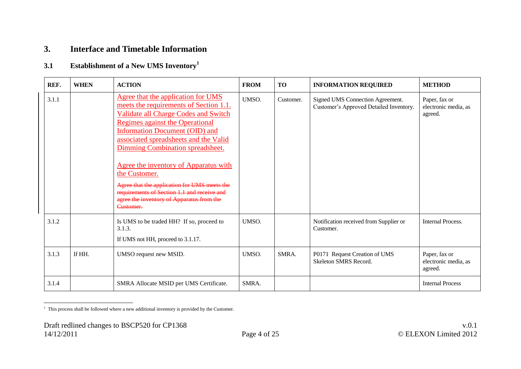## **3. Interface and Timetable Information**

# **3.1 Establishment of a New UMS Inventory<sup>1</sup>**

| REF.  | <b>WHEN</b> | <b>ACTION</b>                                                                                                                                                                                                                                                                                                                                                                                                                                                                                    | <b>FROM</b> | <b>TO</b> | <b>INFORMATION REQUIRED</b>                                                 | <b>METHOD</b>                                    |
|-------|-------------|--------------------------------------------------------------------------------------------------------------------------------------------------------------------------------------------------------------------------------------------------------------------------------------------------------------------------------------------------------------------------------------------------------------------------------------------------------------------------------------------------|-------------|-----------|-----------------------------------------------------------------------------|--------------------------------------------------|
| 3.1.1 |             | Agree that the application for UMS<br>meets the requirements of Section 1.1.<br><b>Validate all Charge Codes and Switch</b><br>Regimes against the Operational<br>Information Document (OID) and<br>associated spreadsheets and the Valid<br>Dimming Combination spreadsheet.<br>Agree the inventory of Apparatus with<br>the Customer.<br>Agree that the application for UMS meets the<br>requirements of Section 1.1 and receive and<br>agree the inventory of Apparatus from the<br>Customer. | UMSO.       | Customer. | Signed UMS Connection Agreement.<br>Customer's Approved Detailed Inventory. | Paper, fax or<br>electronic media, as<br>agreed. |
| 3.1.2 |             | Is UMS to be traded HH? If so, proceed to<br>3.1.3.<br>If UMS not HH, proceed to 3.1.17.                                                                                                                                                                                                                                                                                                                                                                                                         | UMSO.       |           | Notification received from Supplier or<br>Customer.                         | <b>Internal Process.</b>                         |
| 3.1.3 | If HH.      | UMSO request new MSID.                                                                                                                                                                                                                                                                                                                                                                                                                                                                           | UMSO.       | SMRA.     | P0171 Request Creation of UMS<br>Skeleton SMRS Record.                      | Paper, fax or<br>electronic media, as<br>agreed. |
| 3.1.4 |             | SMRA Allocate MSID per UMS Certificate.                                                                                                                                                                                                                                                                                                                                                                                                                                                          | SMRA.       |           |                                                                             | <b>Internal Process</b>                          |

 1 This process shall be followed where a new additional inventory is provided by the Customer.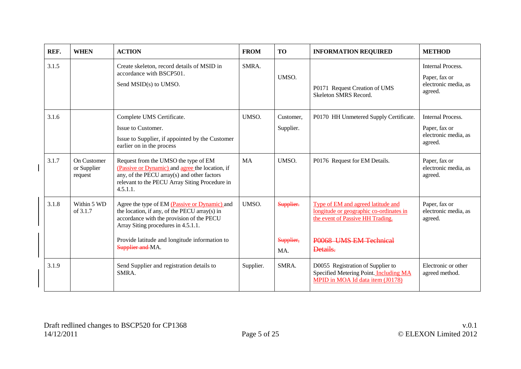| REF.  | <b>WHEN</b>                           | <b>ACTION</b>                                                                                                                                                                                                                                           | <b>FROM</b> | <b>TO</b>                     | <b>INFORMATION REQUIRED</b>                                                                                                                             | <b>METHOD</b>                                                                |
|-------|---------------------------------------|---------------------------------------------------------------------------------------------------------------------------------------------------------------------------------------------------------------------------------------------------------|-------------|-------------------------------|---------------------------------------------------------------------------------------------------------------------------------------------------------|------------------------------------------------------------------------------|
| 3.1.5 |                                       | Create skeleton, record details of MSID in<br>accordance with BSCP501.<br>Send MSID(s) to UMSO.                                                                                                                                                         | SMRA.       | UMSO.                         | P0171 Request Creation of UMS<br>Skeleton SMRS Record.                                                                                                  | <b>Internal Process.</b><br>Paper, fax or<br>electronic media, as<br>agreed. |
| 3.1.6 |                                       | Complete UMS Certificate.<br>Issue to Customer.<br>Issue to Supplier, if appointed by the Customer<br>earlier on in the process                                                                                                                         | UMSO.       | Customer,<br>Supplier.        | P0170 HH Unmetered Supply Certificate.                                                                                                                  | <b>Internal Process.</b><br>Paper, fax or<br>electronic media, as<br>agreed. |
| 3.1.7 | On Customer<br>or Supplier<br>request | Request from the UMSO the type of EM<br>(Passive or Dynamic) and agree the location, if<br>any, of the PECU array(s) and other factors<br>relevant to the PECU Array Siting Procedure in<br>4.5.1.1.                                                    | <b>MA</b>   | UMSO.                         | P0176 Request for EM Details.                                                                                                                           | Paper, fax or<br>electronic media, as<br>agreed.                             |
| 3.1.8 | Within 5 WD<br>of $3.1.7$             | Agree the type of EM (Passive or Dynamic) and<br>the location, if any, of the PECU array(s) in<br>accordance with the provision of the PECU<br>Array Siting procedures in 4.5.1.1.<br>Provide latitude and longitude information to<br>Supplier and MA. | UMSO.       | Supplier.<br>Supplier,<br>MA. | Type of EM and agreed latitude and<br>longitude or geographic co-ordinates in<br>the event of Passive HH Trading.<br>P0068 UMS EM Technical<br>Details. | Paper, fax or<br>electronic media, as<br>agreed.                             |
| 3.1.9 |                                       | Send Supplier and registration details to<br>SMRA.                                                                                                                                                                                                      | Supplier.   | SMRA.                         | D0055 Registration of Supplier to<br>Specified Metering Point. Including MA<br>MPID in MOA Id data item (J0178)                                         | Electronic or other<br>agreed method.                                        |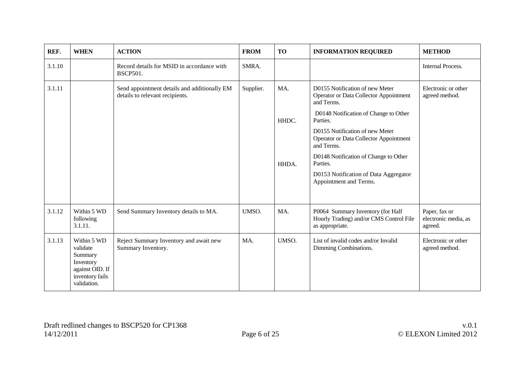| REF.   | <b>WHEN</b>                                                                                          | <b>ACTION</b>                                                                   | <b>FROM</b> | <b>TO</b> | <b>INFORMATION REQUIRED</b>                                                                                                             | <b>METHOD</b>                                    |
|--------|------------------------------------------------------------------------------------------------------|---------------------------------------------------------------------------------|-------------|-----------|-----------------------------------------------------------------------------------------------------------------------------------------|--------------------------------------------------|
| 3.1.10 |                                                                                                      | Record details for MSID in accordance with<br><b>BSCP501.</b>                   | SMRA.       |           |                                                                                                                                         | <b>Internal Process.</b>                         |
| 3.1.11 |                                                                                                      | Send appointment details and additionally EM<br>details to relevant recipients. | Supplier.   | MA.       | D0155 Notification of new Meter<br><b>Operator or Data Collector Appointment</b><br>and Terms.<br>D0148 Notification of Change to Other | Electronic or other<br>agreed method.            |
|        |                                                                                                      |                                                                                 |             | HHDC.     | Parties.<br>D0155 Notification of new Meter<br><b>Operator or Data Collector Appointment</b><br>and Terms.                              |                                                  |
|        |                                                                                                      |                                                                                 |             | HHDA.     | D0148 Notification of Change to Other<br>Parties.                                                                                       |                                                  |
|        |                                                                                                      |                                                                                 |             |           | D0153 Notification of Data Aggregator<br>Appointment and Terms.                                                                         |                                                  |
| 3.1.12 | Within 5 WD<br>following<br>3.1.11.                                                                  | Send Summary Inventory details to MA.                                           | UMSO.       | MA.       | P0064 Summary Inventory (for Half<br>Hourly Trading) and/or CMS Control File<br>as appropriate.                                         | Paper, fax or<br>electronic media, as<br>agreed. |
| 3.1.13 | Within 5 WD<br>validate<br>Summary<br>Inventory<br>against OID. If<br>inventory fails<br>validation. | Reject Summary Inventory and await new<br>Summary Inventory.                    | MA.         | UMSO.     | List of invalid codes and/or Invalid<br>Dimming Combinations.                                                                           | Electronic or other<br>agreed method.            |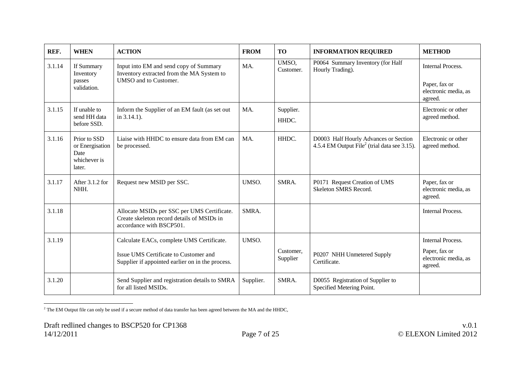<span id="page-6-0"></span>

| REF.   | <b>WHEN</b>                                                       | <b>ACTION</b>                                                                                                         | <b>FROM</b> | <b>TO</b>             | <b>INFORMATION REQUIRED</b>                                                                       | <b>METHOD</b>                                    |
|--------|-------------------------------------------------------------------|-----------------------------------------------------------------------------------------------------------------------|-------------|-----------------------|---------------------------------------------------------------------------------------------------|--------------------------------------------------|
| 3.1.14 | If Summary<br>Inventory                                           | Input into EM and send copy of Summary<br>Inventory extracted from the MA System to                                   | MA.         | UMSO,<br>Customer.    | P0064 Summary Inventory (for Half<br>Hourly Trading).                                             | <b>Internal Process.</b>                         |
|        | passes<br>validation.                                             | UMSO and to Customer.                                                                                                 |             |                       |                                                                                                   | Paper, fax or<br>electronic media, as<br>agreed. |
| 3.1.15 | If unable to<br>send HH data<br>before SSD.                       | Inform the Supplier of an EM fault (as set out<br>in 3.14.1).                                                         | MA.         | Supplier.<br>HHDC.    |                                                                                                   | Electronic or other<br>agreed method.            |
| 3.1.16 | Prior to SSD<br>or Energisation<br>Date<br>whichever is<br>later. | Liaise with HHDC to ensure data from EM can<br>be processed.                                                          | MA.         | HHDC.                 | D0003 Half Hourly Advances or Section<br>4.5.4 EM Output File <sup>2</sup> (trial data see 3.15). | Electronic or other<br>agreed method.            |
| 3.1.17 | After 3.1.2 for<br>NHH.                                           | Request new MSID per SSC.                                                                                             | UMSO.       | SMRA.                 | P0171 Request Creation of UMS<br>Skeleton SMRS Record.                                            | Paper, fax or<br>electronic media, as<br>agreed. |
| 3.1.18 |                                                                   | Allocate MSIDs per SSC per UMS Certificate.<br>Create skeleton record details of MSIDs in<br>accordance with BSCP501. | SMRA.       |                       |                                                                                                   | <b>Internal Process.</b>                         |
| 3.1.19 |                                                                   | Calculate EACs, complete UMS Certificate.                                                                             | UMSO.       |                       |                                                                                                   | <b>Internal Process.</b>                         |
|        |                                                                   | Issue UMS Certificate to Customer and<br>Supplier if appointed earlier on in the process.                             |             | Customer,<br>Supplier | P0207 NHH Unmetered Supply<br>Certificate.                                                        | Paper, fax or<br>electronic media, as<br>agreed. |
| 3.1.20 |                                                                   | Send Supplier and registration details to SMRA<br>for all listed MSIDs.                                               | Supplier.   | SMRA.                 | D0055 Registration of Supplier to<br>Specified Metering Point.                                    |                                                  |

 $\overline{a}$  $^2$  The EM Output file can only be used if a secure method of data transfer has been agreed between the MA and the HHDC,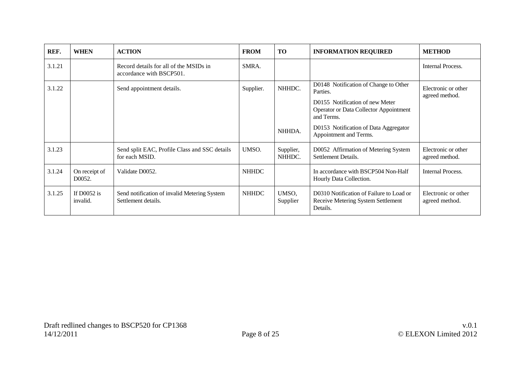| REF.   | <b>WHEN</b>               | <b>ACTION</b>                                                       | <b>FROM</b>  | <b>TO</b>           | <b>INFORMATION REQUIRED</b>                                                                                                                                                                                            | <b>METHOD</b>                         |
|--------|---------------------------|---------------------------------------------------------------------|--------------|---------------------|------------------------------------------------------------------------------------------------------------------------------------------------------------------------------------------------------------------------|---------------------------------------|
| 3.1.21 |                           | Record details for all of the MSIDs in<br>accordance with BSCP501.  | SMRA.        |                     |                                                                                                                                                                                                                        | Internal Process.                     |
| 3.1.22 |                           | Send appointment details.                                           | Supplier.    | NHHDC.<br>NHHDA.    | D0148 Notification of Change to Other<br>Parties.<br>D0155 Notification of new Meter<br><b>Operator or Data Collector Appointment</b><br>and Terms.<br>D0153 Notification of Data Aggregator<br>Appointment and Terms. | Electronic or other<br>agreed method. |
| 3.1.23 |                           | Send split EAC, Profile Class and SSC details<br>for each MSID.     | UMSO.        | Supplier,<br>NHHDC. | D0052 Affirmation of Metering System<br>Settlement Details.                                                                                                                                                            | Electronic or other<br>agreed method. |
| 3.1.24 | On receipt of<br>D0052.   | Validate D0052.                                                     | <b>NHHDC</b> |                     | In accordance with BSCP504 Non-Half<br>Hourly Data Collection.                                                                                                                                                         | Internal Process.                     |
| 3.1.25 | If $D0052$ is<br>invalid. | Send notification of invalid Metering System<br>Settlement details. | <b>NHHDC</b> | UMSO,<br>Supplier   | D0310 Notification of Failure to Load or<br>Receive Metering System Settlement<br>Details.                                                                                                                             | Electronic or other<br>agreed method. |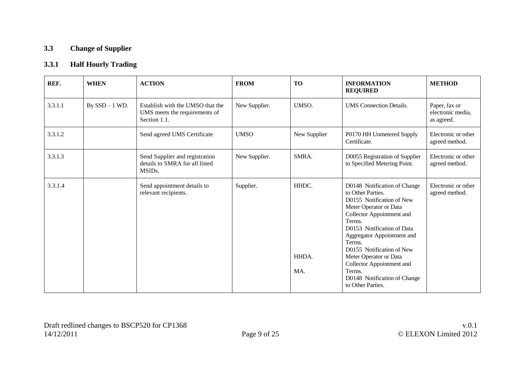## **3.3 Change of Supplier**

## **3.3.1 Half Hourly Trading**

| REF.    | <b>WHEN</b>      | <b>ACTION</b>                                                                           | <b>FROM</b>   | <b>TO</b>             | <b>INFORMATION</b><br><b>REQUIRED</b>                                                                                                                                                                                                                                                                                                                                    | <b>METHOD</b>                                    |
|---------|------------------|-----------------------------------------------------------------------------------------|---------------|-----------------------|--------------------------------------------------------------------------------------------------------------------------------------------------------------------------------------------------------------------------------------------------------------------------------------------------------------------------------------------------------------------------|--------------------------------------------------|
| 3.3.1.1 | By $SSD - 1$ WD. | Establish with the UMSO that the<br>UMS meets the requirements of<br>Section 1.1.       | New Supplier. | UMSO.                 | <b>UMS</b> Connection Details.                                                                                                                                                                                                                                                                                                                                           | Paper, fax or<br>electronic media,<br>as agreed. |
| 3.3.1.2 |                  | Send agreed UMS Certificate                                                             | <b>UMSO</b>   | New Supplier          | P0170 HH Unmetered Supply<br>Certificate.                                                                                                                                                                                                                                                                                                                                | Electronic or other<br>agreed method.            |
| 3.3.1.3 |                  | Send Supplier and registration<br>details to SMRA for all listed<br>MSID <sub>s</sub> . | New Supplier. | SMRA.                 | D0055 Registration of Supplier<br>to Specified Metering Point.                                                                                                                                                                                                                                                                                                           | Electronic or other<br>agreed method.            |
| 3.3.1.4 |                  | Send appointment details to<br>relevant recipients.                                     | Supplier.     | HHDC.<br>HHDA.<br>MA. | D0148 Notification of Change<br>to Other Parties.<br>D0155 Notification of New<br>Meter Operator or Data<br>Collector Appointment and<br>Terms.<br>D0153 Notification of Data<br>Aggregator Appointment and<br>Terms.<br>D0155 Notification of New<br>Meter Operator or Data<br>Collector Appointment and<br>Terms.<br>D0148 Notification of Change<br>to Other Parties. | Electronic or other<br>agreed method.            |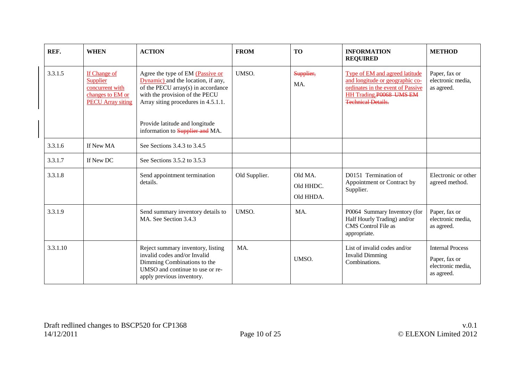| REF.     | <b>WHEN</b>                                                                                 | <b>ACTION</b>                                                                                                                                                                         | <b>FROM</b>   | <b>TO</b>                         | <b>INFORMATION</b><br><b>REQUIRED</b>                                                                                                                          | <b>METHOD</b>                                                               |
|----------|---------------------------------------------------------------------------------------------|---------------------------------------------------------------------------------------------------------------------------------------------------------------------------------------|---------------|-----------------------------------|----------------------------------------------------------------------------------------------------------------------------------------------------------------|-----------------------------------------------------------------------------|
| 3.3.1.5  | If Change of<br>Supplier<br>concurrent with<br>changes to EM or<br><b>PECU</b> Array siting | Agree the type of EM (Passive or<br>Dynamic) and the location, if any,<br>of the PECU array(s) in accordance<br>with the provision of the PECU<br>Array siting procedures in 4.5.1.1. | UMSO.         | Supplier,<br>MA.                  | Type of EM and agreed latitude<br>and longitude or geographic co-<br>ordinates in the event of Passive<br>HH Trading P0068 UMS EM<br><b>Technical Details.</b> | Paper, fax or<br>electronic media,<br>as agreed.                            |
|          |                                                                                             | Provide latitude and longitude<br>information to <b>Supplier and</b> MA.                                                                                                              |               |                                   |                                                                                                                                                                |                                                                             |
| 3.3.1.6  | If New MA                                                                                   | See Sections 3.4.3 to 3.4.5                                                                                                                                                           |               |                                   |                                                                                                                                                                |                                                                             |
| 3.3.1.7  | If New DC                                                                                   | See Sections 3.5.2 to 3.5.3                                                                                                                                                           |               |                                   |                                                                                                                                                                |                                                                             |
| 3.3.1.8  |                                                                                             | Send appointment termination<br>details.                                                                                                                                              | Old Supplier. | Old MA.<br>Old HHDC.<br>Old HHDA. | D0151 Termination of<br>Appointment or Contract by<br>Supplier.                                                                                                | Electronic or other<br>agreed method.                                       |
| 3.3.1.9  |                                                                                             | Send summary inventory details to<br>MA. See Section 3.4.3                                                                                                                            | UMSO.         | MA.                               | P0064 Summary Inventory (for<br>Half Hourly Trading) and/or<br>CMS Control File as<br>appropriate.                                                             | Paper, fax or<br>electronic media,<br>as agreed.                            |
| 3.3.1.10 |                                                                                             | Reject summary inventory, listing<br>invalid codes and/or Invalid<br>Dimming Combinations to the<br>UMSO and continue to use or re-<br>apply previous inventory.                      | MA.           | UMSO.                             | List of invalid codes and/or<br><b>Invalid Dimming</b><br>Combinations.                                                                                        | <b>Internal Process</b><br>Paper, fax or<br>electronic media,<br>as agreed. |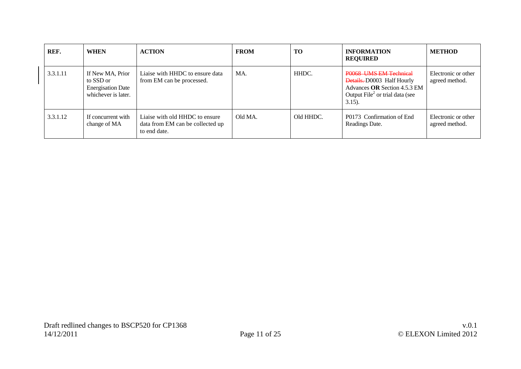| REF.     | <b>WHEN</b>                                                                      | <b>ACTION</b>                                                                      | <b>FROM</b> | TO        | <b>INFORMATION</b><br><b>REQUIRED</b>                                                                                                          | <b>METHOD</b>                         |
|----------|----------------------------------------------------------------------------------|------------------------------------------------------------------------------------|-------------|-----------|------------------------------------------------------------------------------------------------------------------------------------------------|---------------------------------------|
| 3.3.1.11 | If New MA, Prior<br>to SSD or<br><b>Energisation Date</b><br>whichever is later. | Liaise with HHDC to ensure data<br>from EM can be processed.                       | MA.         | HHDC.     | P0068 UMS EM Technical<br>Details. D0003 Half Hourly<br>Advances OR Section 4.5.3 EM<br>Output $\text{File}^2$ or trial data (see<br>$3.15$ ). | Electronic or other<br>agreed method. |
| 3.3.1.12 | If concurrent with<br>change of MA                                               | Liaise with old HHDC to ensure<br>data from EM can be collected up<br>to end date. | Old MA.     | Old HHDC. | P0173 Confirmation of End<br>Readings Date.                                                                                                    | Electronic or other<br>agreed method. |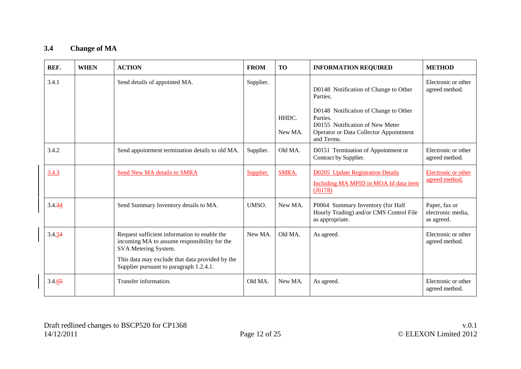## **3.4 Change of MA**

| REF.   | <b>WHEN</b> | <b>ACTION</b>                                                                                                                                                                                                      | <b>FROM</b> | <b>TO</b>        | <b>INFORMATION REQUIRED</b>                                                                                                                                                                              | <b>METHOD</b>                                    |
|--------|-------------|--------------------------------------------------------------------------------------------------------------------------------------------------------------------------------------------------------------------|-------------|------------------|----------------------------------------------------------------------------------------------------------------------------------------------------------------------------------------------------------|--------------------------------------------------|
| 3.4.1  |             | Send details of appointed MA.                                                                                                                                                                                      | Supplier.   | HHDC.<br>New MA. | D0148 Notification of Change to Other<br>Parties.<br>D0148 Notification of Change to Other<br>Parties.<br>D0155 Notification of New Meter<br><b>Operator or Data Collector Appointment</b><br>and Terms. | Electronic or other<br>agreed method.            |
| 3.4.2  |             | Send appointment termination details to old MA.                                                                                                                                                                    | Supplier.   | Old MA.          | D0151 Termination of Appointment or<br>Contract by Supplier.                                                                                                                                             | Electronic or other<br>agreed method.            |
| 3.4.3  |             | Send New MA details to SMRA                                                                                                                                                                                        | Supplier.   | SMRA.            | <b>D0205</b> Update Registration Details<br>Including MA MPID in MOA Id data item<br>$($ $10178)$                                                                                                        | Electronic or other<br>agreed method.            |
| 3.4.34 |             | Send Summary Inventory details to MA.                                                                                                                                                                              | UMSO.       | New MA.          | P0064 Summary Inventory (for Half<br>Hourly Trading) and/or CMS Control File<br>as appropriate.                                                                                                          | Paper, fax or<br>electronic media,<br>as agreed. |
| 3.4.54 |             | Request sufficient information to enable the<br>incoming MA to assume responsibility for the<br>SVA Metering System.<br>This data may exclude that data provided by the<br>Supplier pursuant to paragraph 1.2.4.1. | New MA.     | Old MA.          | As agreed.                                                                                                                                                                                               | Electronic or other<br>agreed method.            |
| 3.4.65 |             | Transfer information.                                                                                                                                                                                              | Old MA.     | New MA.          | As agreed.                                                                                                                                                                                               | Electronic or other<br>agreed method.            |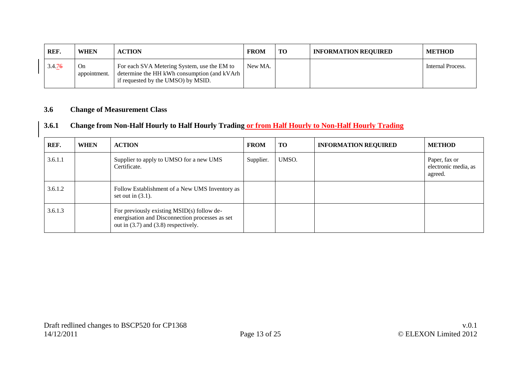| REF.   | <b>WHEN</b>               | <b>ACTION</b>                                                                                                                    | <b>FROM</b> | TO | <b>INFORMATION REQUIRED</b> | METHOD            |
|--------|---------------------------|----------------------------------------------------------------------------------------------------------------------------------|-------------|----|-----------------------------|-------------------|
| 3.4.76 | <b>On</b><br>appointment. | For each SVA Metering System, use the EM to<br>determine the HH kWh consumption (and kVArh<br>if requested by the UMSO) by MSID. | New MA.     |    |                             | Internal Process. |

#### **3.6 Change of Measurement Class**

## **3.6.1 Change from Non-Half Hourly to Half Hourly Trading or from Half Hourly to Non-Half Hourly Trading**

| REF.    | <b>WHEN</b> | <b>ACTION</b>                                                                                                                             | <b>FROM</b> | <b>TO</b> | <b>INFORMATION REQUIRED</b> | <b>METHOD</b>                                    |
|---------|-------------|-------------------------------------------------------------------------------------------------------------------------------------------|-------------|-----------|-----------------------------|--------------------------------------------------|
| 3.6.1.1 |             | Supplier to apply to UMSO for a new UMS<br>Certificate.                                                                                   | Supplier.   | UMSO.     |                             | Paper, fax or<br>electronic media, as<br>agreed. |
| 3.6.1.2 |             | Follow Establishment of a New UMS Inventory as<br>set out in $(3.1)$ .                                                                    |             |           |                             |                                                  |
| 3.6.1.3 |             | For previously existing MSID(s) follow de-<br>energisation and Disconnection processes as set<br>out in $(3.7)$ and $(3.8)$ respectively. |             |           |                             |                                                  |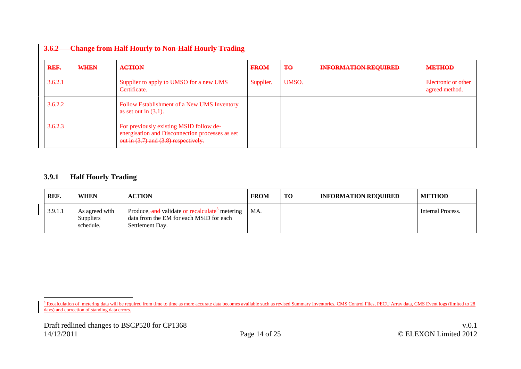| REF.    | WHEN | <b>ACTION</b>                                                                                                                      | <b>FROM</b> | Ŧθ    | <b>INFORMATION REQUIRED</b> | <b>METHOD</b>                         |
|---------|------|------------------------------------------------------------------------------------------------------------------------------------|-------------|-------|-----------------------------|---------------------------------------|
| 3.6.2.1 |      | Supplier to apply to UMSO for a new UMS<br>Certificate.                                                                            | Supplier.   | UMSO. |                             | Electronic or other<br>agreed method. |
| 3.6.2.2 |      | <b>Follow Establishment of a New UMS Inventory</b><br>as set out in $(3.1)$ .                                                      |             |       |                             |                                       |
| 3.6.2.3 |      | For previously existing MSID follow de-<br>energisation and Disconnection processes as set<br>out in (3.7) and (3.8) respectively. |             |       |                             |                                       |

#### **3.6.2 Change from Half Hourly to Non-Half Hourly Trading**

#### **3.9.1 Half Hourly Trading**

 $\overline{a}$ 

| REF.    | <b>WHEN</b>                                     | <b>ACTION</b>                                                                                                            | <b>FROM</b> | TO | <b>INFORMATION REQUIRED</b> | <b>METHOD</b>     |
|---------|-------------------------------------------------|--------------------------------------------------------------------------------------------------------------------------|-------------|----|-----------------------------|-------------------|
| 3.9.1.1 | As agreed with<br><b>Suppliers</b><br>schedule. | Produce, and validate or recalculate <sup>3</sup> metering<br>data from the EM for each MSID for each<br>Settlement Day. | MA.         |    |                             | Internal Process. |

<sup>&</sup>lt;sup>3</sup> Recalculation of metering data will be required from time to time as more accurate data becomes available such as revised Summary Inventories, CMS Control Files, PECU Array data, CMS Event logs (limited to 28 days) and correction of standing data errors.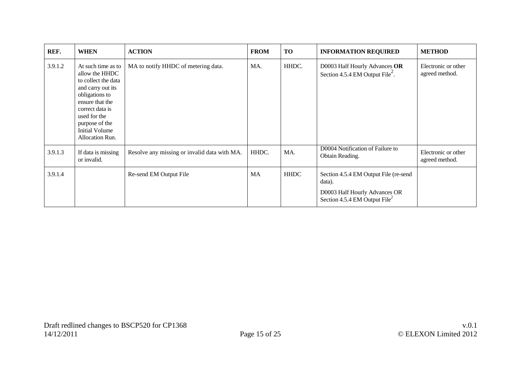| REF.    | <b>WHEN</b>                                                                                                                                                                                                                   | <b>ACTION</b>                                | <b>FROM</b> | TO          | <b>INFORMATION REQUIRED</b>                                                                                                   | <b>METHOD</b>                         |
|---------|-------------------------------------------------------------------------------------------------------------------------------------------------------------------------------------------------------------------------------|----------------------------------------------|-------------|-------------|-------------------------------------------------------------------------------------------------------------------------------|---------------------------------------|
| 3.9.1.2 | At such time as to<br>allow the HHDC<br>to collect the data<br>and carry out its<br>obligations to<br>ensure that the<br>correct data is<br>used for the<br>purpose of the<br><b>Initial Volume</b><br><b>Allocation Run.</b> | MA to notify HHDC of metering data.          | MA.         | HHDC.       | D0003 Half Hourly Advances OR<br>Section 4.5.4 EM Output File <sup>2</sup> .                                                  | Electronic or other<br>agreed method. |
| 3.9.1.3 | If data is missing<br>or invalid.                                                                                                                                                                                             | Resolve any missing or invalid data with MA. | HHDC.       | MA.         | D0004 Notification of Failure to<br>Obtain Reading.                                                                           | Electronic or other<br>agreed method. |
| 3.9.1.4 |                                                                                                                                                                                                                               | Re-send EM Output File                       | <b>MA</b>   | <b>HHDC</b> | Section 4.5.4 EM Output File (re-send<br>data).<br>D0003 Half Hourly Advances OR<br>Section 4.5.4 EM Output File <sup>2</sup> |                                       |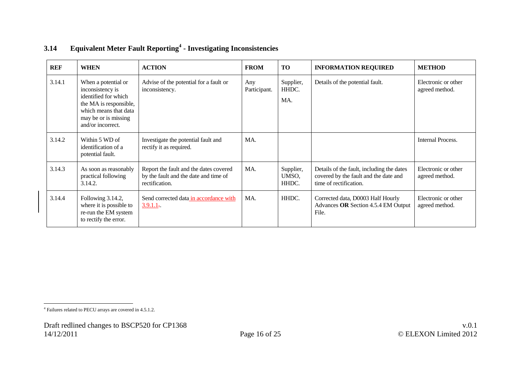| <b>REF</b> | <b>WHEN</b>                                                                                                                                                     | <b>ACTION</b>                                                                                     | <b>FROM</b>         | <b>TO</b>                   | <b>INFORMATION REQUIRED</b>                                                                                  | <b>METHOD</b>                         |
|------------|-----------------------------------------------------------------------------------------------------------------------------------------------------------------|---------------------------------------------------------------------------------------------------|---------------------|-----------------------------|--------------------------------------------------------------------------------------------------------------|---------------------------------------|
| 3.14.1     | When a potential or<br>inconsistency is<br>identified for which<br>the MA is responsible,<br>which means that data<br>may be or is missing<br>and/or incorrect. | Advise of the potential for a fault or<br>inconsistency.                                          | Any<br>Participant. | Supplier,<br>HHDC.<br>MA.   | Details of the potential fault.                                                                              | Electronic or other<br>agreed method. |
| 3.14.2     | Within 5 WD of<br>identification of a<br>potential fault.                                                                                                       | Investigate the potential fault and<br>rectify it as required.                                    | MA.                 |                             |                                                                                                              | Internal Process.                     |
| 3.14.3     | As soon as reasonably<br>practical following<br>3.14.2.                                                                                                         | Report the fault and the dates covered<br>by the fault and the date and time of<br>rectification. | MA.                 | Supplier,<br>UMSO,<br>HHDC. | Details of the fault, including the dates<br>covered by the fault and the date and<br>time of rectification. | Electronic or other<br>agreed method. |
| 3.14.4     | Following 3.14.2,<br>where it is possible to<br>re-run the EM system<br>to rectify the error.                                                                   | Send corrected data in accordance with<br>$3.9.1.1$ .                                             | MA.                 | HHDC.                       | Corrected data, D0003 Half Hourly<br>Advances OR Section 4.5.4 EM Output<br>File.                            | Electronic or other<br>agreed method. |

## **3.14 Equivalent Meter Fault Reporting<sup>4</sup> - Investigating Inconsistencies**

 4 Failures related to PECU arrays are covered in 4.5.1.2.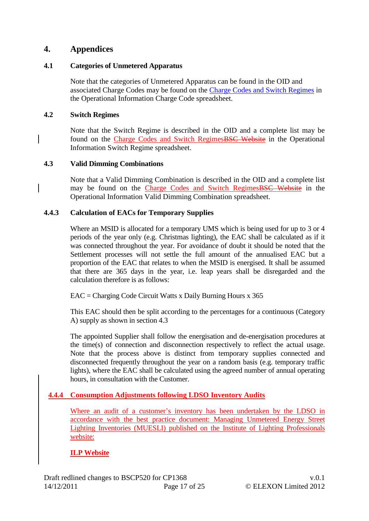## **4. Appendices**

#### **4.1 Categories of Unmetered Apparatus**

Note that the categories of Unmetered Apparatus can be found in the OID and associated Charge Codes may be found on the [Charge Codes and Switch Regimes](http://www.elexon.co.uk/pages/chargecodesandswitchregimes.aspx) in the Operational Information Charge Code spreadsheet.

#### **4.2 Switch Regimes**

Note that the Switch Regime is described in the OID and a complete list may be found on the [Charge Codes and Switch RegimesBSC Website](http://www.elexon.co.uk/pages/chargecodesandswitchregimes.aspx) in the Operational Information Switch Regime spreadsheet.

#### **4.3 Valid Dimming Combinations**

Note that a Valid Dimming Combination is described in the OID and a complete list may be found on the [Charge Codes and Switch RegimesBSC Website](http://www.elexon.co.uk/pages/chargecodesandswitchregimes.aspx) in the Operational Information Valid Dimming Combination spreadsheet.

#### **4.4.3 Calculation of EACs for Temporary Supplies**

Where an MSID is allocated for a temporary UMS which is being used for up to 3 or 4 periods of the year only (e.g. Christmas lighting), the EAC shall be calculated as if it was connected throughout the year. For avoidance of doubt it should be noted that the Settlement processes will not settle the full amount of the annualised EAC but a proportion of the EAC that relates to when the MSID is energised. It shall be assumed that there are 365 days in the year, i.e. leap years shall be disregarded and the calculation therefore is as follows:

 $EAC = Charging Code Circuit Watts x Daily Burning Hours x 365$ 

This EAC should then be split according to the percentages for a continuous (Category A) supply as shown in section 4.3

The appointed Supplier shall follow the energisation and de-energisation procedures at the time(s) of connection and disconnection respectively to reflect the actual usage. Note that the process above is distinct from temporary supplies connected and disconnected frequently throughout the year on a random basis (e.g. temporary traffic lights), where the EAC shall be calculated using the agreed number of annual operating hours, in consultation with the Customer.

## **4.4.4 Consumption Adjustments following LDSO Inventory Audits**

Where an audit of a customer's inventory has been undertaken by the LDSO in accordance with the best practice document: Managing Unmetered Energy Street Lighting Inventories (MUESLI) published on the Institute of Lighting Professionals website:

## **[ILP Website](http://www.theilp.org.uk/index.php?page=energy)**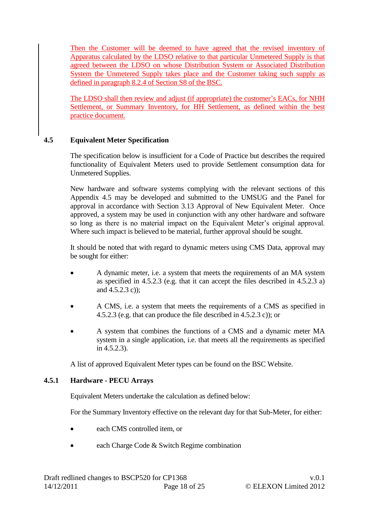Then the Customer will be deemed to have agreed that the revised inventory of Apparatus calculated by the LDSO relative to that particular Unmetered Supply is that agreed between the LDSO on whose Distribution System or Associated Distribution System the Unmetered Supply takes place and the Customer taking such supply as defined in paragraph 8.2.4 of Section S8 of the BSC.

The LDSO shall then review and adjust (if appropriate) the customer's EACs, for NHH Settlement, or Summary Inventory, for HH Settlement, as defined within the best practice document.

## **4.5 Equivalent Meter Specification**

The specification below is insufficient for a Code of Practice but describes the required functionality of Equivalent Meters used to provide Settlement consumption data for Unmetered Supplies.

New hardware and software systems complying with the relevant sections of this Appendix 4.5 may be developed and submitted to the UMSUG and the Panel for approval in accordance with Section 3.13 Approval of New Equivalent Meter. Once approved, a system may be used in conjunction with any other hardware and software so long as there is no material impact on the Equivalent Meter's original approval. Where such impact is believed to be material, further approval should be sought.

It should be noted that with regard to dynamic meters using CMS Data, approval may be sought for either:

- A dynamic meter, i.e. a system that meets the requirements of an MA system as specified in 4.5.2.3 (e.g. that it can accept the files described in 4.5.2.3 a) and 4.5.2.3 c));
- A CMS, i.e. a system that meets the requirements of a CMS as specified in 4.5.2.3 (e.g. that can produce the file described in 4.5.2.3 c)); or
- A system that combines the functions of a CMS and a dynamic meter MA system in a single application, i.e. that meets all the requirements as specified in 4.5.2.3).

A list of approved Equivalent Meter types can be found on the BSC Website.

#### **4.5.1 Hardware - PECU Arrays**

Equivalent Meters undertake the calculation as defined below:

For the Summary Inventory effective on the relevant day for that Sub-Meter, for either:

- each CMS controlled item, or
- each Charge Code & Switch Regime combination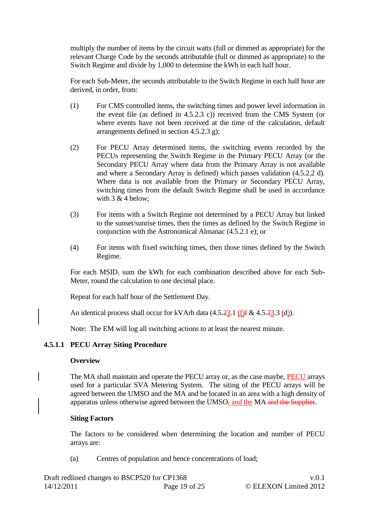multiply the number of items by the circuit watts (full or dimmed as appropriate) for the relevant Charge Code by the seconds attributable (full or dimmed as appropriate) to the Switch Regime and divide by 1,000 to determine the kWh in each half hour.

For each Sub-Meter, the seconds attributable to the Switch Regime in each half hour are derived, in order, from:

- (1) For CMS controlled items, the switching times and power level information in the event file (as defined in 4.5.2.3 c)) received from the CMS System (or where events have not been received at the time of the calculation, default arrangements defined in section 4.5.2.3 g);
- (2) For PECU Array determined items, the switching events recorded by the PECUs representing the Switch Regime in the Primary PECU Array (or the Secondary PECU Array where data from the Primary Array is not available and where a Secondary Array is defined) which passes validation (4.5.2.2 d). Where data is not available from the Primary or Secondary PECU Array, switching times from the default Switch Regime shall be used in accordance with  $3 & 4$  below;
- (3) For items with a Switch Regime not determined by a PECU Array but linked to the sunset/sunrise times, then the times as defined by the Switch Regime in conjunction with the Astronomical Almanac (4.5.2.1 e); or
- (4) For items with fixed switching times, then those times defined by the Switch Regime.

For each MSID, sum the kWh for each combination described above for each Sub-Meter, round the calculation to one decimal place.

Repeat for each half hour of the Settlement Day.

An identical process shall occur for kVArh data  $(4.5.23.1 \text{ (f)}\text{f} \& 4.5.23.3 \text{ (d)}).$ 

Note: The EM will log all switching actions to at least the nearest minute.

#### **4.5.1.1 PECU Array Siting Procedure**

#### **Overview**

The MA shall maintain and operate the PECU array or, as the case maybe, PECU arrays used for a particular SVA Metering System. The siting of the PECU arrays will be agreed between the UMSO and the MA and be located in an area with a high density of apparatus unless otherwise agreed between the UMSO<sub>7</sub> and the MA-and the Supplier.

#### **Siting Factors**

The factors to be considered when determining the location and number of PECU arrays are:

(a) Centres of population and hence concentrations of load;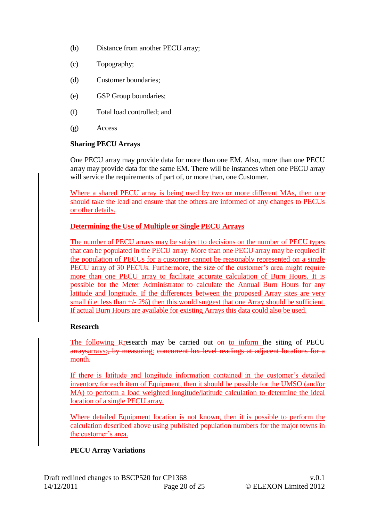- (b) Distance from another PECU array;
- (c) Topography;
- (d) Customer boundaries;
- (e) GSP Group boundaries;
- (f) Total load controlled; and
- (g) Access

#### **Sharing PECU Arrays**

One PECU array may provide data for more than one EM. Also, more than one PECU array may provide data for the same EM. There will be instances when one PECU array will service the requirements of part of, or more than, one Customer.

Where a shared PECU array is being used by two or more different MAs, then one should take the lead and ensure that the others are informed of any changes to PECUs or other details.

## **Determining the Use of Multiple or Single PECU Arrays**

The number of PECU arrays may be subject to decisions on the number of PECU types that can be populated in the PECU array. More than one PECU array may be required if the population of PECUs for a customer cannot be reasonably represented on a single PECU array of 30 PECUs. Furthermore, the size of the customer's area might require more than one PECU array to facilitate accurate calculation of Burn Hours. It is possible for the Meter Administrator to calculate the Annual Burn Hours for any latitude and longitude. If the differences between the proposed Array sites are very small (i.e. less than  $+/- 2\%$ ) then this would suggest that one Array should be sufficient. If actual Burn Hours are available for existing Arrays this data could also be used.

## **Research**

The following Research may be carried out  $\theta$  to inform the siting of PECU arraysarrays:, by measuring: concurrent lux level readings at adjacent locations for a month.

If there is latitude and longitude information contained in the customer's detailed inventory for each item of Equipment, then it should be possible for the UMSO (and/or MA) to perform a load weighted longitude/latitude calculation to determine the ideal location of a single PECU array.

Where detailed Equipment location is not known, then it is possible to perform the calculation described above using published population numbers for the major towns in the customer's area.

## **PECU Array Variations**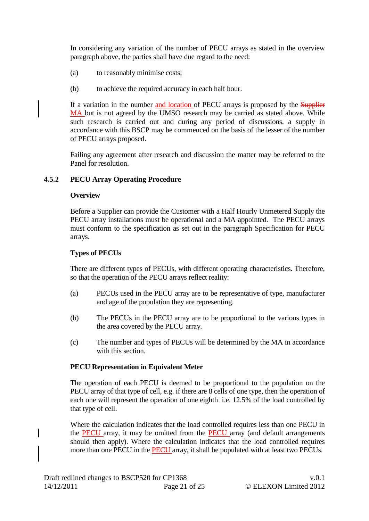In considering any variation of the number of PECU arrays as stated in the overview paragraph above, the parties shall have due regard to the need:

- (a) to reasonably minimise costs;
- (b) to achieve the required accuracy in each half hour.

If a variation in the number and location of PECU arrays is proposed by the Supplier MA but is not agreed by the UMSO research may be carried as stated above. While such research is carried out and during any period of discussions, a supply in accordance with this BSCP may be commenced on the basis of the lesser of the number of PECU arrays proposed.

Failing any agreement after research and discussion the matter may be referred to the Panel for resolution.

#### **4.5.2 PECU Array Operating Procedure**

#### **Overview**

Before a Supplier can provide the Customer with a Half Hourly Unmetered Supply the PECU array installations must be operational and a MA appointed. The PECU arrays must conform to the specification as set out in the paragraph Specification for PECU arrays.

#### **Types of PECUs**

There are different types of PECUs, with different operating characteristics. Therefore, so that the operation of the PECU arrays reflect reality:

- (a) PECUs used in the PECU array are to be representative of type, manufacturer and age of the population they are representing.
- (b) The PECUs in the PECU array are to be proportional to the various types in the area covered by the PECU array.
- (c) The number and types of PECUs will be determined by the MA in accordance with this section.

#### **PECU Representation in Equivalent Meter**

The operation of each PECU is deemed to be proportional to the population on the PECU array of that type of cell, e.g. if there are 8 cells of one type, then the operation of each one will represent the operation of one eighth i.e. 12.5% of the load controlled by that type of cell.

Where the calculation indicates that the load controlled requires less than one PECU in the **PECU** array, it may be omitted from the **PECU** array (and default arrangements should then apply). Where the calculation indicates that the load controlled requires more than one PECU in the PECU array, it shall be populated with at least two PECUs.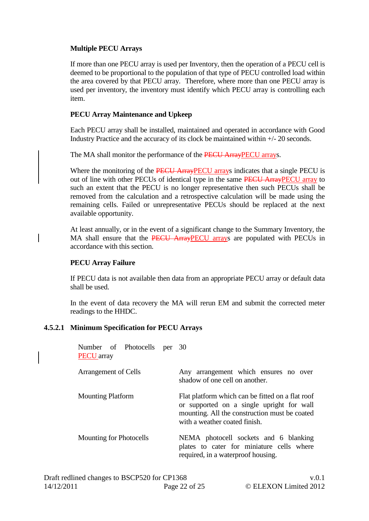#### **Multiple PECU Arrays**

If more than one PECU array is used per Inventory, then the operation of a PECU cell is deemed to be proportional to the population of that type of PECU controlled load within the area covered by that PECU array. Therefore, where more than one PECU array is used per inventory, the inventory must identify which PECU array is controlling each item.

#### **PECU Array Maintenance and Upkeep**

Each PECU array shall be installed, maintained and operated in accordance with Good Industry Practice and the accuracy of its clock be maintained within +/- 20 seconds.

The MA shall monitor the performance of the **PECU ArrayPECU** arrays.

Where the monitoring of the **PECU ArrayPECU** arrays indicates that a single PECU is out of line with other PECUs of identical type in the same PECU ArrayPECU array to such an extent that the PECU is no longer representative then such PECUs shall be removed from the calculation and a retrospective calculation will be made using the remaining cells. Failed or unrepresentative PECUs should be replaced at the next available opportunity.

At least annually, or in the event of a significant change to the Summary Inventory, the MA shall ensure that the PECU ArrayPECU arrays are populated with PECUs in accordance with this section.

### **PECU Array Failure**

If PECU data is not available then data from an appropriate PECU array or default data shall be used.

In the event of data recovery the MA will rerun EM and submit the corrected meter readings to the HHDC.

#### **4.5.2.1 Minimum Specification for PECU Arrays**

| Number of Photocells per 30<br><b>PECU</b> array |                                                                                                                                                                                 |  |  |  |
|--------------------------------------------------|---------------------------------------------------------------------------------------------------------------------------------------------------------------------------------|--|--|--|
| Arrangement of Cells                             | Any arrangement which ensures no over<br>shadow of one cell on another.                                                                                                         |  |  |  |
| <b>Mounting Platform</b>                         | Flat platform which can be fitted on a flat roof<br>or supported on a single upright for wall<br>mounting. All the construction must be coated<br>with a weather coated finish. |  |  |  |
| <b>Mounting for Photocells</b>                   | NEMA photocell sockets and 6 blanking<br>plates to cater for miniature cells where<br>required, in a waterproof housing.                                                        |  |  |  |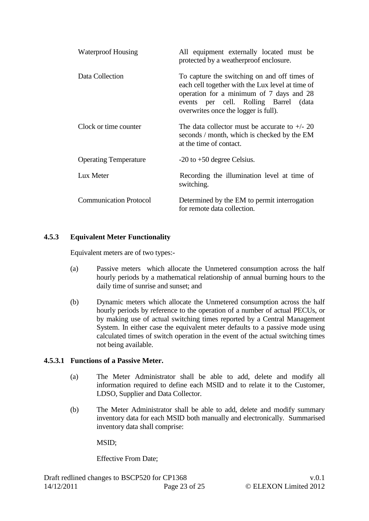| Waterproof Housing            | All equipment externally located must be<br>protected by a weatherproof enclosure.                                                                                                                                            |
|-------------------------------|-------------------------------------------------------------------------------------------------------------------------------------------------------------------------------------------------------------------------------|
| Data Collection               | To capture the switching on and off times of<br>each cell together with the Lux level at time of<br>operation for a minimum of 7 days and 28<br>events per cell. Rolling Barrel (data<br>overwrites once the logger is full). |
| Clock or time counter         | The data collector must be accurate to $+/- 20$<br>seconds / month, which is checked by the EM<br>at the time of contact.                                                                                                     |
| <b>Operating Temperature</b>  | $-20$ to $+50$ degree Celsius.                                                                                                                                                                                                |
| Lux Meter                     | Recording the illumination level at time of<br>switching.                                                                                                                                                                     |
| <b>Communication Protocol</b> | Determined by the EM to permit interrogation<br>for remote data collection.                                                                                                                                                   |

#### **4.5.3 Equivalent Meter Functionality**

Equivalent meters are of two types:-

- (a) Passive meters which allocate the Unmetered consumption across the half hourly periods by a mathematical relationship of annual burning hours to the daily time of sunrise and sunset; and
- (b) Dynamic meters which allocate the Unmetered consumption across the half hourly periods by reference to the operation of a number of actual PECUs, or by making use of actual switching times reported by a Central Management System. In either case the equivalent meter defaults to a passive mode using calculated times of switch operation in the event of the actual switching times not being available.

#### **4.5.3.1 Functions of a Passive Meter.**

- (a) The Meter Administrator shall be able to add, delete and modify all information required to define each MSID and to relate it to the Customer, LDSO, Supplier and Data Collector.
- (b) The Meter Administrator shall be able to add, delete and modify summary inventory data for each MSID both manually and electronically. Summarised inventory data shall comprise:

MSID;

Effective From Date;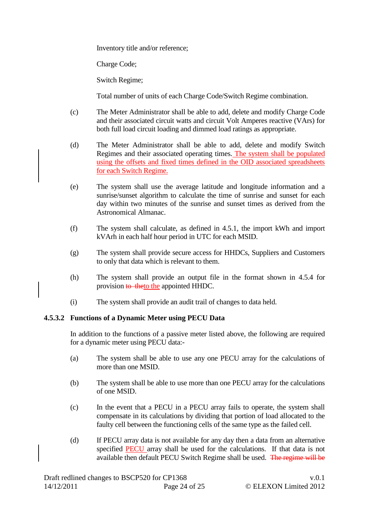Inventory title and/or reference;

Charge Code;

Switch Regime;

Total number of units of each Charge Code/Switch Regime combination.

- (c) The Meter Administrator shall be able to add, delete and modify Charge Code and their associated circuit watts and circuit Volt Amperes reactive (VArs) for both full load circuit loading and dimmed load ratings as appropriate.
- (d) The Meter Administrator shall be able to add, delete and modify Switch Regimes and their associated operating times. The system shall be populated using the offsets and fixed times defined in the OID associated spreadsheets for each Switch Regime.
- (e) The system shall use the average latitude and longitude information and a sunrise/sunset algorithm to calculate the time of sunrise and sunset for each day within two minutes of the sunrise and sunset times as derived from the Astronomical Almanac.
- (f) The system shall calculate, as defined in 4.5.1, the import kWh and import kVArh in each half hour period in UTC for each MSID.
- (g) The system shall provide secure access for HHDCs, Suppliers and Customers to only that data which is relevant to them.
- (h) The system shall provide an output file in the format shown in 4.5.4 for provision to the appointed HHDC.
- (i) The system shall provide an audit trail of changes to data held.

#### **4.5.3.2 Functions of a Dynamic Meter using PECU Data**

In addition to the functions of a passive meter listed above, the following are required for a dynamic meter using PECU data:-

- (a) The system shall be able to use any one PECU array for the calculations of more than one MSID.
- (b) The system shall be able to use more than one PECU array for the calculations of one MSID.
- (c) In the event that a PECU in a PECU array fails to operate, the system shall compensate in its calculations by dividing that portion of load allocated to the faulty cell between the functioning cells of the same type as the failed cell.
- (d) If PECU array data is not available for any day then a data from an alternative specified **PECU** array shall be used for the calculations. If that data is not available then default PECU Switch Regime shall be used. The regime will be